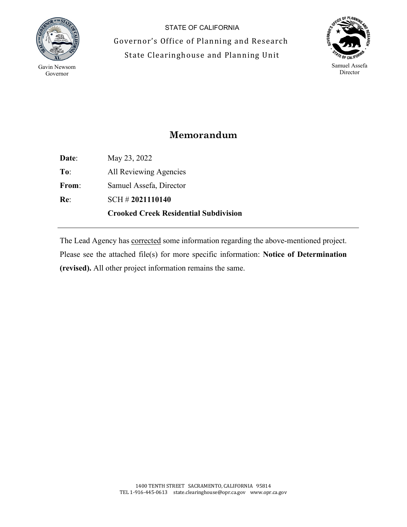

 $\overline{a}$ 

STATE OF CALIFORNIA Governor's Office of Planning and Research State Clearinghouse and Planning Unit



## **Memorandum**

**Date**: May 23, 2022 **To**: All Reviewing Agencies **From**: Samuel Assefa, Director **Re**: SCH # **2021110140 Crooked Creek Residential Subdivision**

The Lead Agency has corrected some information regarding the above-mentioned project. Please see the attached file(s) for more specific information: **Notice of Determination (revised).** All other project information remains the same.